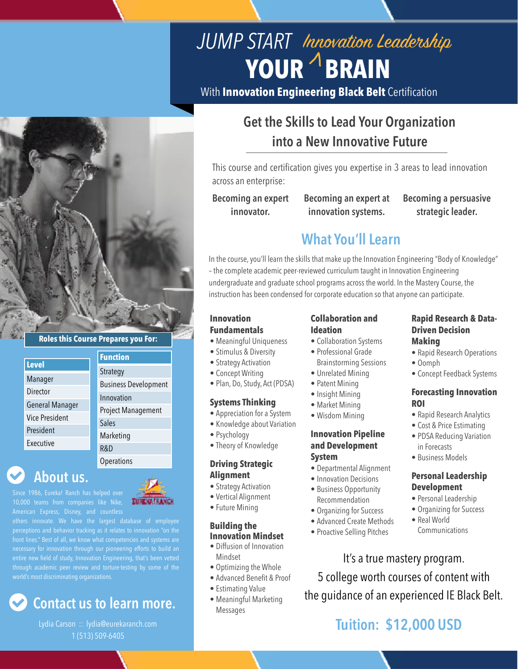

## **Roles this Course Prepares you For:**

|                        | <b>Function</b>             |
|------------------------|-----------------------------|
| <b>Level</b>           | Strategy                    |
| Manager                |                             |
|                        | <b>Business Development</b> |
| Director               |                             |
|                        | Innovation                  |
|                        |                             |
| <b>General Manager</b> |                             |
|                        | <b>Project Management</b>   |
| Vice President         | <b>Sales</b>                |
|                        |                             |
| President              | Marketing                   |
| Executive              |                             |
|                        | R&D                         |
|                        |                             |
|                        |                             |

**Operations** 

**About us.**

Since 1986, Eureka! Ranch has helped over American Express, Disney, and countless



perceptions and behavior tracking as it relates to innovation "on the front lines." Best of all, we know what competencies and systems are

# **Contact us to learn more.**

Lydia Carson :: lydia@eurekaranch.com 1 (513) 509-6405

# **Get the Skills to Lead Your Organization into a New Innovative Future**

YOUR **BRAIN** 

*JUMP START* Innovation Leadership

With **Innovation Engineering Black Belt** Certification

This course and certification gives you expertise in 3 areas to lead innovation across an enterprise:

**Becoming an expert innovator.**

**Becoming an expert at innovation systems.**

**Becoming a persuasive strategic leader.** 

## **What You'll Learn**

In the course, you'll learn the skills that make up the Innovation Engineering "Body of Knowledge" – the complete academic peer-reviewed curriculum taught in Innovation Engineering undergraduate and graduate school programs across the world. In the Mastery Course, the instruction has been condensed for corporate education so that anyone can participate.

#### **Innovation Fundamentals**

- Meaningful Uniqueness
- Stimulus & Diversity
- Strategy Activation
- Concept Writing
- Plan, Do, Study, Act (PDSA)

### **Systems Thinking**

- Appreciation for a System
- Knowledge about Variation
- Psychology
- Theory of Knowledge

#### **Driving Strategic Alignment**

- Strategy Activation
- Vertical Alignment
- Future Mining

### **Building the Innovation Mindset**

- Diffusion of Innovation Mindset
- Optimizing the Whole
- Advanced Benefit & Proof
- Estimating Value
- Meaningful Marketing Messages

## **Collaboration and Ideation**

- Collaboration Systems
- Professional Grade
- Brainstorming Sessions
- Unrelated Mining
- Patent Mining
- Insight Mining
- Market Mining
- Wisdom Mining

#### **Innovation Pipeline and Development System**

- Departmental Alignment
- Innovation Decisions
- Business Opportunity Recommendation
- Organizing for Success
- Advanced Create Methods
- Proactive Selling Pitches

## **Rapid Research & Data-Driven Decision Making**

- Rapid Research Operations
- Oomph
- Concept Feedback Systems

#### **Forecasting Innovation ROI**

- Rapid Research Analytics
- Cost & Price Estimating
- PDSA Reducing Variation in Forecasts
- Business Models

## **Personal Leadership Development**

- Personal Leadership
- Organizing for Success
- Real World Communications

It's a true mastery program. 5 college worth courses of content with the guidance of an experienced IE Black Belt.

## **Tuition: \$12,000 USD**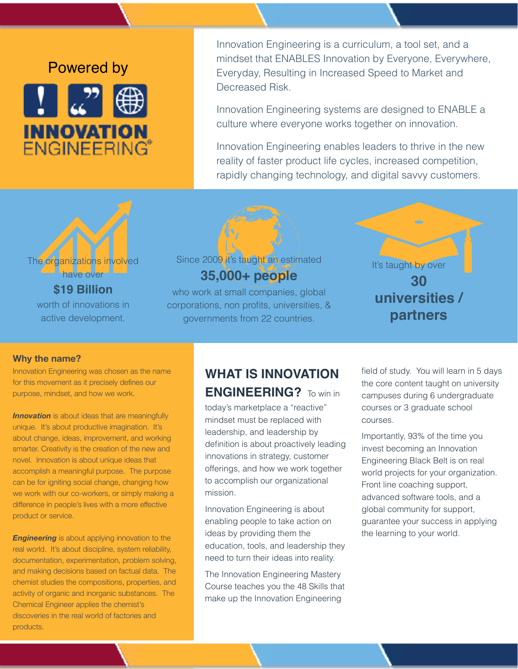# Powered by



Innovation Engineering is a curriculum, a tool set, and a mindset that ENABLES Innovation by Everyone, Everywhere, Everyday, Resulting in Increased Speed to Market and Decreased Risk.

Innovation Engineering systems are designed to ENABLE a culture where everyone works together on innovation.

Innovation Engineering enables leaders to thrive in the new reality of faster product life cycles, increased competition, rapidly changing technology, and digital savvy customers.



worth of innovations in active development.

## Since 2009 it's taught an estimated **35,000+ people**

who work at small companies, global corporations, non profits, universities, & governments from 22 countries.



#### **Why the name?**

Innovation Engineering was chosen as the name for this movement as it precisely defines our purpose, mindset, and how we work.

**Innovation** is about ideas that are meaningfully unique. It's about productive imagination. It's about change, ideas, improvement, and working smarter. Creativity is the creation of the new and novel. Innovation is about unique ideas that accomplish a meaningful purpose. The purpose can be for igniting social change, changing how we work with our co-workers, or simply making a difference in people's lives with a more effective product or service.

**Engineering** is about applying innovation to the real world. It's about discipline, system reliability, documentation, experimentation, problem solving, and making decisions based on factual data. The chemist studies the compositions, properties, and activity of organic and inorganic substances. The Chemical Engineer applies the chemist's discoveries in the real world of factories and products.

## **WHAT IS INNOVATION ENGINEERING?** To win in

today's marketplace a "reactive" mindset must be replaced with leadership, and leadership by definition is about proactively leading innovations in strategy, customer offerings, and how we work together to accomplish our organizational mission.

Innovation Engineering is about enabling people to take action on ideas by providing them the education, tools, and leadership they need to turn their ideas into reality.

The Innovation Engineering Mastery Course teaches you the 48 Skills that make up the Innovation Engineering

field of study. You will learn in 5 days the core content taught on university campuses during 6 undergraduate courses or 3 graduate school courses.

Importantly, 93% of the time you invest becoming an Innovation Engineering Black Belt is on real world projects for your organization. Front line coaching support, advanced software tools, and a global community for support, guarantee your success in applying the learning to your world.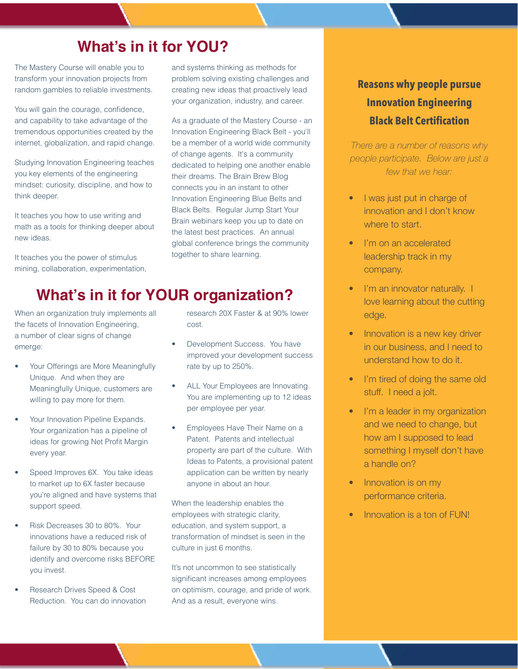# **What's in it for YOU?**

The Mastery Course will enable you to transform your innovation projects from random gambles to reliable investments.

You will gain the courage, confidence, and capability to take advantage of the tremendous opportunities created by the internet, globalization, and rapid change.

Studying Innovation Engineering teaches you key elements of the engineering mindset: curiosity, discipline, and how to think deeper.

It teaches you how to use writing and math as a tools for thinking deeper about new ideas.

It teaches you the power of stimulus mining, collaboration, experimentation, and systems thinking as methods for problem solving existing challenges and creating new ideas that proactively lead your organization, industry, and career.

As a graduate of the Mastery Course - an Innovation Engineering Black Belt - you'll be a member of a world wide community of change agents. It's a community dedicated to helping one another enable their dreams. The Brain Brew Blog connects you in an instant to other Innovation Engineering Blue Belts and Black Belts. Regular Jump Start Your Brain webinars keep you up to date on the latest best practices. An annual global conference brings the community together to share learning.

## **What's in it for YOUR organization?**

When an organization truly implements all the facets of Innovation Engineering, a number of clear signs of change emerge:

- Your Offerings are More Meaningfully Unique. And when they are Meaningfully Unique, customers are willing to pay more for them.
- Your Innovation Pipeline Expands. Your organization has a pipeline of ideas for growing Net Profit Margin every year.
- Speed Improves 6X. You take ideas to market up to 6X faster because you're aligned and have systems that support speed.
- Risk Decreases 30 to 80%. Your innovations have a reduced risk of failure by 30 to 80% because you identify and overcome risks BEFORE you invest.
- Research Drives Speed & Cost Reduction. You can do innovation

research 20X Faster & at 90% lower cost.

- Development Success. You have improved your development success rate by up to 250%.
- ALL Your Employees are Innovating. You are implementing up to 12 ideas per employee per year.
- Employees Have Their Name on a Patent. Patents and intellectual property are part of the culture. With Ideas to Patents, a provisional patent application can be written by nearly anyone in about an hour.

When the leadership enables the employees with strategic clarity, education, and system support, a transformation of mindset is seen in the culture in just 6 months.

It's not uncommon to see statistically significant increases among employees on optimism, courage, and pride of work. And as a result, everyone wins.

## **Reasons why people pursue Innovation Engineering Black Belt Certification**

*There are a number of reasons why people participate. Below are just a few that we hear:*

- I was just put in charge of innovation and I don't know where to start.
- I'm on an accelerated leadership track in my company.
- I'm an innovator naturally. I love learning about the cutting edge.
- Innovation is a new key driver in our business, and I need to understand how to do it.
- I'm tired of doing the same old stuff. I need a jolt.
- I'm a leader in my organization and we need to change, but how am I supposed to lead something I myself don't have a handle on?
- Innovation is on my performance criteria.
- Innovation is a ton of FUN!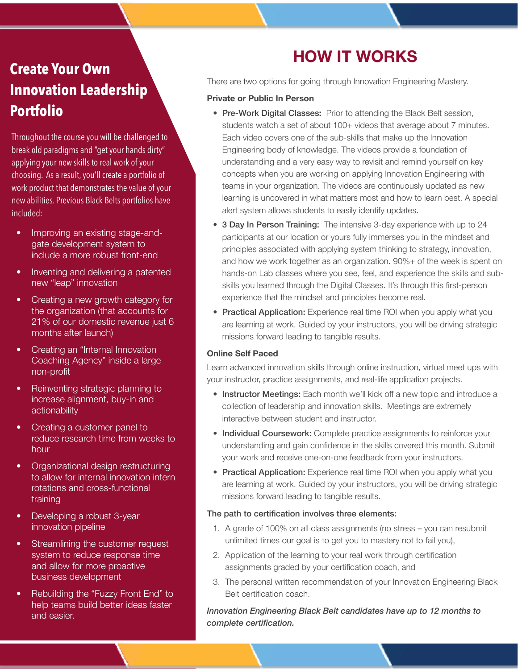# **Create Your Own Innovation Leadership Portfolio**

Throughout the course you will be challenged to break old paradigms and "get your hands dirty" applying your new skills to real work of your choosing. As a result, you'll create a portfolio of work product that demonstrates the value of your new abilities. Previous Black Belts portfolios have included:

- Improving an existing stage-andgate development system to include a more robust front-end
- Inventing and delivering a patented new "leap" innovation
- Creating a new growth category for the organization (that accounts for 21% of our domestic revenue just 6 months after launch)
- Creating an "Internal Innovation Coaching Agency" inside a large non-profit
- Reinventing strategic planning to increase alignment, buy-in and actionability
- Creating a customer panel to reduce research time from weeks to hour
- Organizational design restructuring to allow for internal innovation intern rotations and cross-functional training
- Developing a robust 3-year innovation pipeline
- Streamlining the customer request system to reduce response time and allow for more proactive business development
- Rebuilding the "Fuzzy Front End" to help teams build better ideas faster and easier.

# **HOW IT WORKS**

There are two options for going through Innovation Engineering Mastery.

#### **Private or Public In Person**

- Pre-Work Digital Classes**:** Prior to attending the Black Belt session, students watch a set of about 100+ videos that average about 7 minutes. Each video covers one of the sub-skills that make up the Innovation Engineering body of knowledge. The videos provide a foundation of understanding and a very easy way to revisit and remind yourself on key concepts when you are working on applying Innovation Engineering with teams in your organization. The videos are continuously updated as new learning is uncovered in what matters most and how to learn best. A special alert system allows students to easily identify updates.
- 3 Day In Person Training:The intensive 3-day experience with up to 24 participants at our location or yours fully immerses you in the mindset and principles associated with applying system thinking to strategy, innovation, and how we work together as an organization. 90%+ of the week is spent on hands-on Lab classes where you see, feel, and experience the skills and subskills you learned through the Digital Classes. It's through this first-person experience that the mindset and principles become real.
- Practical Application: Experience real time ROI when you apply what you are learning at work. Guided by your instructors, you will be driving strategic missions forward leading to tangible results.

### **Online Self Paced**

Learn advanced innovation skills through online instruction, virtual meet ups with your instructor, practice assignments, and real-life application projects.

- Instructor Meetings: Each month we'll kick off a new topic and introduce a collection of leadership and innovation skills. Meetings are extremely interactive between student and instructor.
- Individual Coursework: Complete practice assignments to reinforce your understanding and gain confidence in the skills covered this month. Submit your work and receive one-on-one feedback from your instructors.
- Practical Application: Experience real time ROI when you apply what you are learning at work. Guided by your instructors, you will be driving strategic missions forward leading to tangible results.

### The path to certification involves three elements:

- 1. A grade of 100% on all class assignments (no stress you can resubmit unlimited times our goal is to get you to mastery not to fail you),
- 2. Application of the learning to your real work through certification assignments graded by your certification coach, and
- 3. The personal written recommendation of your Innovation Engineering Black Belt certification coach.

### *Innovation Engineering Black Belt candidates have up to 12 months to complete certification.*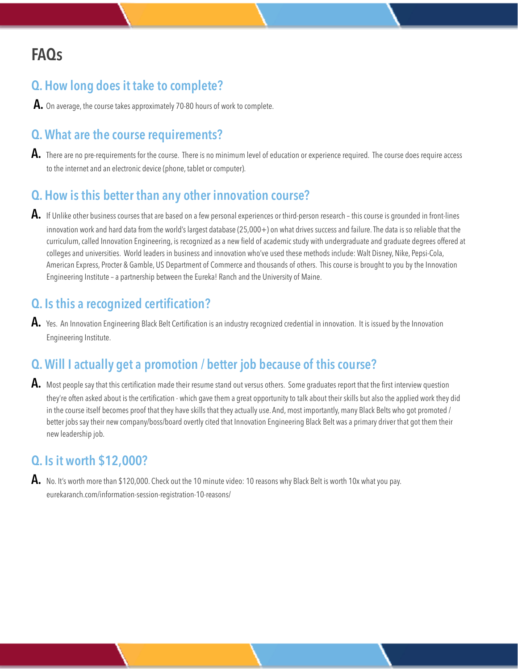# **FAQs**

## **Q. How long does it take to complete?**

**A.** On average, the course takes approximately 70-80 hours of work to complete.

## **Q. What are the course requirements?**

**A.** There are no pre-requirements for the course. There is no minimum level of education or experience required. The course does require access to the internet and an electronic device (phone, tablet or computer).

## **Q. How is this better than any other innovation course?**

**A.** If Unlike other business courses that are based on a few personal experiences or third-person research – this course is grounded in front-lines innovation work and hard data from the world's largest database (25,000+) on what drives success and failure. The data is so reliable that the curriculum, called Innovation Engineering, is recognized as a new field of academic study with undergraduate and graduate degrees offered at colleges and universities. World leaders in business and innovation who've used these methods include: Walt Disney, Nike, Pepsi-Cola, American Express, Procter & Gamble, US Department of Commerce and thousands of others. This course is brought to you by the Innovation Engineering Institute – a partnership between the Eureka! Ranch and the University of Maine.

## **Q. Is this a recognized certification?**

**A.** Yes. An Innovation Engineering Black Belt Certification is an industry recognized credential in innovation. It is issued by the Innovation Engineering Institute.

## **Q. Will I actually get a promotion / better job because of this course?**

**A.** Most people say that this certification made their resume stand out versus others. Some graduates report that the first interview question they're often asked about is the certification - which gave them a great opportunity to talk about their skills but also the applied work they did in the course itself becomes proof that they have skills that they actually use. And, most importantly, many Black Belts who got promoted / better jobs say their new company/boss/board overtly cited that Innovation Engineering Black Belt was a primary driver that got them their new leadership job.

## **Q. Is it worth \$12,000?**

**A.** No. It's worth more than \$120,000. Check out the 10 minute video: 10 reasons why Black Belt is worth 10x what you pay. eurekaranch.com/information-session-registration-10-reasons/